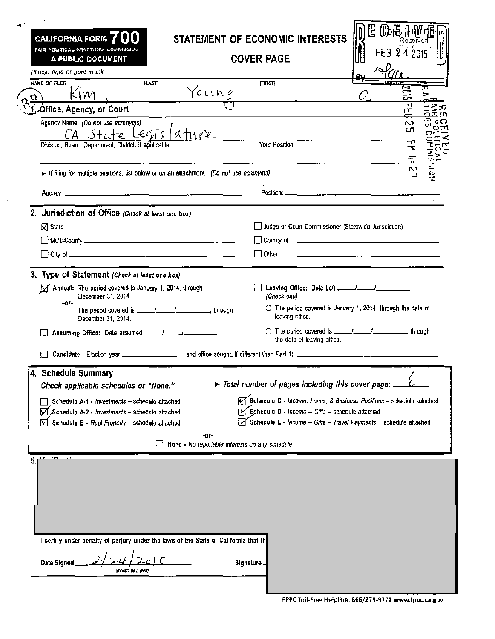| CALIFORNIA FORM $\boldsymbol{7}$<br>fair political praetices commission<br>A PUBLIC DOCUMENT<br>Plaase type or print in ink. | STATEMENT OF ECONOMIC INTERESTS<br><b>COVER PAGE</b>                                                                                | LE.<br>的骨骨的<br>FEB 24 2015                                            |
|------------------------------------------------------------------------------------------------------------------------------|-------------------------------------------------------------------------------------------------------------------------------------|-----------------------------------------------------------------------|
| NAME OF FILER<br>[LST]<br>Kim.                                                                                               | (PIR5T)<br>Young                                                                                                                    |                                                                       |
| <b>Office, Agency, or Court</b>                                                                                              |                                                                                                                                     | ᇚ                                                                     |
| Agency Name (Do not use acronyms)                                                                                            |                                                                                                                                     | w                                                                     |
| Ca state Legislature<br>Division, Board, Department, District, if applicable                                                 | Your Position                                                                                                                       | cл<br>ヱ<br>m<br>모크<br>기<br>기<br>$\mathbf{r}$                          |
| If filing for multiple positions, list below or on an attachment. (Do not use acronyms)                                      |                                                                                                                                     | $\frac{1}{2}$<br>N                                                    |
|                                                                                                                              |                                                                                                                                     |                                                                       |
| 2. Jurisdiction of Office (Check at least one box)                                                                           |                                                                                                                                     |                                                                       |
| <b>X</b> State                                                                                                               | Judge or Court Commissioner (Statewide Jurisdiction)                                                                                |                                                                       |
|                                                                                                                              |                                                                                                                                     |                                                                       |
|                                                                                                                              |                                                                                                                                     |                                                                       |
| 3. Type of Statement (Check at least one box)                                                                                |                                                                                                                                     |                                                                       |
| M Annual: The period covered is January 1, 2014, through<br>December 31, 2014.                                               | (Check one)                                                                                                                         |                                                                       |
| -or-<br>December 31, 2014.                                                                                                   | leaving office.                                                                                                                     | $\bigcirc$ The period covered is January 1, 2014, through the data of |
|                                                                                                                              | the date of leaving office.                                                                                                         |                                                                       |
|                                                                                                                              |                                                                                                                                     |                                                                       |
| <b>Schedule Summary</b><br>Check applicable schedules or "None."                                                             | Total number of pages including this cover page: _                                                                                  | z.                                                                    |
| Schedule A-1 - Investments - schedule attached<br>Schedule A-2 - Investments - schedule attached                             | Schedule C - Income, Loans, & Business Positions - schedule attached<br>$\boxed{V}$ Schedule D - Income - Gifts - schedule attached |                                                                       |
| Schedule B - Real Property - schedule attached                                                                               | $\sqrt{\ }$ Schedule E - Income - Gifts - Travel Payments - schedule attached                                                       |                                                                       |
|                                                                                                                              | -or-<br>None - No reportable interests on any schedule                                                                              |                                                                       |
| I certify under penalty of perjury under the laws of the State of California that the                                        |                                                                                                                                     |                                                                       |
| Date Signed<br>(month, day, year)                                                                                            | <b>Signature</b>                                                                                                                    |                                                                       |

 $\bar{z}$ ۸

 $\hat{\boldsymbol{\beta}}$ 

 $\hat{\mathcal{A}}$ 

 $\mathcal{A}$ 

 $\bar{\beta}$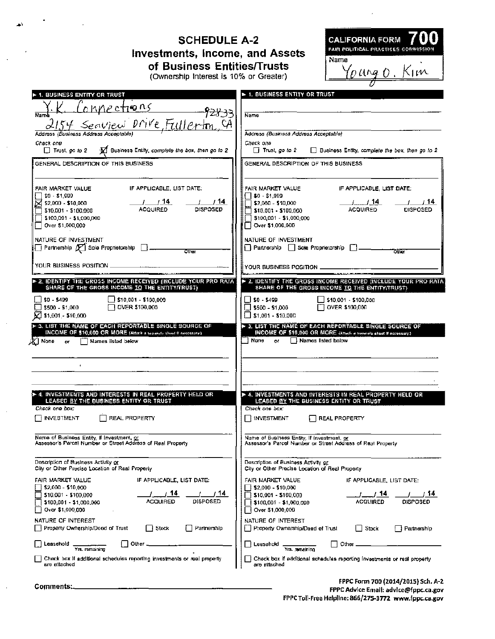| <b>CALIFORNIA FORM</b><br><b>SCHEDULE A-2</b><br>FAIR POLITICAL PRACTICES COMM<br>Investments, Income, and Assets<br>Name<br>of Business Entities/Trusts<br><u>'ourg o .</u> Kim<br>(Ownership Interest is 10% or Greater)                                                                                                                                                        |                                                                                                                                                                                                                                                                                                              |  |
|-----------------------------------------------------------------------------------------------------------------------------------------------------------------------------------------------------------------------------------------------------------------------------------------------------------------------------------------------------------------------------------|--------------------------------------------------------------------------------------------------------------------------------------------------------------------------------------------------------------------------------------------------------------------------------------------------------------|--|
| <b>1. BUSINESS ENTITY OR TRUST</b>                                                                                                                                                                                                                                                                                                                                                | <b>&gt; 1. BUSINESS ENTITY OR TRUST</b>                                                                                                                                                                                                                                                                      |  |
| Connections                                                                                                                                                                                                                                                                                                                                                                       | <b>Name</b>                                                                                                                                                                                                                                                                                                  |  |
| 2154 Secured Drive, Fullerton, CA                                                                                                                                                                                                                                                                                                                                                 | Address (Business Address Acceptable)                                                                                                                                                                                                                                                                        |  |
| Check one                                                                                                                                                                                                                                                                                                                                                                         | Check one                                                                                                                                                                                                                                                                                                    |  |
| M Business Entity, complete the box, then go to 2                                                                                                                                                                                                                                                                                                                                 | $\Box$ Trust, go to 2                                                                                                                                                                                                                                                                                        |  |
| $\Box$ Trust, go to 2                                                                                                                                                                                                                                                                                                                                                             | Business Entity, complete the box, then go to 2                                                                                                                                                                                                                                                              |  |
| GENERAL DESCRIPTION OF THIS BUSINESS                                                                                                                                                                                                                                                                                                                                              | GENERAL DESCRIPTION OF THIS BUSINESS                                                                                                                                                                                                                                                                         |  |
| IF APPLICABLE, LIST DATE:<br>FAIR MARKET VALUE<br>$$0 - $1,009$<br>_/ 14.<br>/ 14<br>52,000 - \$10,000<br><b>DISPOSED</b><br><b>ACOUIRED</b><br>\$10,001 - \$100,000<br>$15100,001 - 51,000,000$<br>Over \$1,008,000<br>NATURE OF INVESTMENT<br>$\Box$ Partnership $\not\hspace{-.15cm}/\,\overline{\mathcal{C}}$ Sole Proprietorship $\Box$<br>Other<br>YOUR BUSINESS POSITION _ | FAIR MARKET VALUE<br>IF APPLICABLE, LIST DATE:<br>$\Box$ \$0 - \$1,999<br>∃ \$2,000 - \$10,000<br>ACQUIRED<br><b>DISPOSED</b><br>\$10.001 - \$100.000<br>\$100,001 - \$1,000,000<br>□ Over \$1,000,000<br>NATURE OF INVESTMENT<br>  Partnership   Sole Proprietorship    <br>Olber<br>YOUR BUSINESS POSITION |  |
| . 2. IDENTIFY THE GROSS INCOME RECEIVED (INCLUDE YOUR PRO RATA)                                                                                                                                                                                                                                                                                                                   | IF 2. IDENTIFY THE GROSS INCOME RECEIVED (INCLUDE YOUR PRO RATA                                                                                                                                                                                                                                              |  |
| SHARE OF THE GROSS INCOME TO THE ENTITY/TRUST)<br>$$0 - $499$<br>$1510,001 - $100,000$<br>OVER \$100,000<br>\$500 - \$1,000<br>$\triangle$ \$1,001 - \$10,000<br>D- 3. LIST THE NAME OF EACH REPORTABLE SINGLE SOURCE OF<br>INCOME OF \$10,000 OR MORE (Allach a seconds should if reservance)<br>京   None<br>Names listed below<br>$\alpha$<br>$\mathbf{r}$                      | SHARE OF THE GROSS INCOME TO THE ENTITY/TRUST)<br>$150 - 5499$<br>OVER \$100,000<br>$5500 - 51,000$<br>$\Box$ \$1,001 - \$10,000<br>> 3. LIST THE NAME OF EACH REPORTABLE SINGLE SOURCE OF<br>INCOME OF \$18,800 OR MORE denote a second about if notessary;<br>i Nono<br>Names listed below<br>$\sigma$     |  |
| > 4. INVESTMENTS AND INTERESTS IN REAL PROPERTY HELD OR                                                                                                                                                                                                                                                                                                                           | p 4, investments and interests in Real Property Held Or                                                                                                                                                                                                                                                      |  |
| LEASED BY THE BUSINESS ENTITY OR TRUST                                                                                                                                                                                                                                                                                                                                            | LEASED BY THE BUSINESS ENTITY OR TRUST                                                                                                                                                                                                                                                                       |  |
| Check one box:                                                                                                                                                                                                                                                                                                                                                                    | Check one box:                                                                                                                                                                                                                                                                                               |  |
| <b>INVESTMENT</b>                                                                                                                                                                                                                                                                                                                                                                 | <b>INVESTMENT</b>                                                                                                                                                                                                                                                                                            |  |
| REAL PROPERTY                                                                                                                                                                                                                                                                                                                                                                     | <b>REAL PROPERTY</b>                                                                                                                                                                                                                                                                                         |  |
| Name of Business Entity, if Investment, or                                                                                                                                                                                                                                                                                                                                        | Name of Business Entity, if investment, or                                                                                                                                                                                                                                                                   |  |
| Assessor's Parcel Number or Street Address of Real Property                                                                                                                                                                                                                                                                                                                       | Assessor's Parcel Number or Street Address of Real Property                                                                                                                                                                                                                                                  |  |
| Description of Business Activity or                                                                                                                                                                                                                                                                                                                                               | Description of Business Activity or                                                                                                                                                                                                                                                                          |  |
| City or Other Precise Location of Real Property                                                                                                                                                                                                                                                                                                                                   | City or Other Precise Location of Real Property                                                                                                                                                                                                                                                              |  |
| FAIR MARKET VALUE                                                                                                                                                                                                                                                                                                                                                                 | FAIR MARKET VALUE                                                                                                                                                                                                                                                                                            |  |
| IF APPLICABLE, LIST DATE:                                                                                                                                                                                                                                                                                                                                                         | IF APPLICABLE, LIST DATE:                                                                                                                                                                                                                                                                                    |  |
| \$2,000 - \$10,000                                                                                                                                                                                                                                                                                                                                                                | \$2,000 - \$10,000                                                                                                                                                                                                                                                                                           |  |
| 714                                                                                                                                                                                                                                                                                                                                                                               | 7.14                                                                                                                                                                                                                                                                                                         |  |
| / 14                                                                                                                                                                                                                                                                                                                                                                              | 14.                                                                                                                                                                                                                                                                                                          |  |
| \$10,001 - \$100,000                                                                                                                                                                                                                                                                                                                                                              | \$10,001 - \$100,000                                                                                                                                                                                                                                                                                         |  |
| DISPOSED                                                                                                                                                                                                                                                                                                                                                                          | ACQUIRED                                                                                                                                                                                                                                                                                                     |  |
| ACQUIRED                                                                                                                                                                                                                                                                                                                                                                          | DISPOSED                                                                                                                                                                                                                                                                                                     |  |
| \$100,001 - \$1,000,000                                                                                                                                                                                                                                                                                                                                                           | \$100,001 - \$1,000,000                                                                                                                                                                                                                                                                                      |  |
| Over \$1,000,000                                                                                                                                                                                                                                                                                                                                                                  | Over \$1,000,000                                                                                                                                                                                                                                                                                             |  |
| NATURE OF INTEREST                                                                                                                                                                                                                                                                                                                                                                | NATURE OF INTEREST                                                                                                                                                                                                                                                                                           |  |
| Froperty Ownership/Deed of Trust                                                                                                                                                                                                                                                                                                                                                  | Property Ownership/Dead of Trust                                                                                                                                                                                                                                                                             |  |
| Stock                                                                                                                                                                                                                                                                                                                                                                             | l I Stock                                                                                                                                                                                                                                                                                                    |  |
| Partnership                                                                                                                                                                                                                                                                                                                                                                       | Partnership                                                                                                                                                                                                                                                                                                  |  |
| Other                                                                                                                                                                                                                                                                                                                                                                             | Other                                                                                                                                                                                                                                                                                                        |  |
| Laasehoid                                                                                                                                                                                                                                                                                                                                                                         | Leasehold                                                                                                                                                                                                                                                                                                    |  |
| Yra, romalning<br>Check box if additional schedules reporting investments or real property<br>are ettached                                                                                                                                                                                                                                                                        | Check box if additional schedules reporting investments or real property<br>are attached                                                                                                                                                                                                                     |  |
| Comments:                                                                                                                                                                                                                                                                                                                                                                         | FPPC Form 700 (2014/2015) Sch. A-2<br><b>EPPC Advice Email: advice@frinc.ca.gov</b>                                                                                                                                                                                                                          |  |

اح

 $\bar{ }$ 

 $\bar{\beta}$ 

J.

 $\bar{z}$ 

 $\hat{\boldsymbol{\beta}}$ 

FPPC Advice Email: advice@fppc.ca.gov<br>FPPC Toll-Free Helpline: 866/275-3772 www.fppc.ca.gov

 $\overline{\phantom{a}}$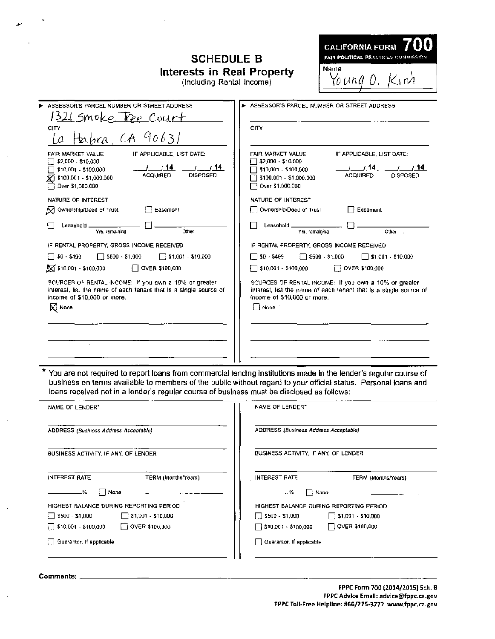## **SCHEDULE B** Interests in Real Property<br>(Including Rental Income)

| CALIFORNIA FORM (UU)                |  |  |
|-------------------------------------|--|--|
| FAIR POLITICAL PRACTICES COMMISSION |  |  |
| Name                                |  |  |
| Young O. Kim                        |  |  |

| ASSESSOR'S PARCEL NUMBER OR STREET ADDRESS                                                                                                                                                        | > ASSESSOR'S PARCEL NUMBER OR STREET ADDRESS                                                                                                                                                           |
|---------------------------------------------------------------------------------------------------------------------------------------------------------------------------------------------------|--------------------------------------------------------------------------------------------------------------------------------------------------------------------------------------------------------|
| 1321 Smoke Free Court                                                                                                                                                                             |                                                                                                                                                                                                        |
| CITY<br>Ia Habra, CA 90631                                                                                                                                                                        | CITY                                                                                                                                                                                                   |
| FAIR MARKET VALUE<br>IF APPLICABLE, LIST DATE:<br>\$2,000 - \$10,000<br>1/14<br>/ 14<br>\$10,001 - \$100,000<br><b>DISPOSED</b><br><b>ACQUIRED</b><br>\$100,001 - \$1,000,000<br>Over \$1,000,000 | FAIR MARKET VALUE<br>IF APPLICABLE, LIST DATE:<br>$\Box$ \$2,000 - \$10,000<br>/14<br>714<br>\$10,001 - \$100,000<br><b>ACQUIRED</b><br><b>DISPOSED</b><br>\$100,001 - \$1,000,000<br>Over \$1,000,000 |
| NATURE OF INTEREST                                                                                                                                                                                | NATURE OF INTEREST                                                                                                                                                                                     |
| M Ownership/Deed of Trust<br>$\Box$ Easement                                                                                                                                                      | Ownership/Deed of Trust<br>□ Easement                                                                                                                                                                  |
| Lassahold _<br>Yra, remaining<br>Other                                                                                                                                                            | Leasahoid __<br>Yrs, remaining<br>Other .                                                                                                                                                              |
| IF RENTAL PROPERTY, GROSS INCOME RECEIVED                                                                                                                                                         | IF RENTAL PROPERTY, GROSS INCOME RECEIVED                                                                                                                                                              |
| $\Box$ \$500 - \$1,000<br>$\Box$ \$1,001 - \$10,000<br>$\Box$ \$0 - \$499                                                                                                                         | □ \$500 - \$1,000<br>$$0 - $499$<br>$\Box$ \$1,001 - \$10,000<br>$\mathsf{I}$                                                                                                                          |
| $\sum$ \$10,001 - \$100,000<br>$\Box$ OVER \$100,000                                                                                                                                              | OVER \$100,000<br>\$10,001 - \$100,000                                                                                                                                                                 |
| SOURCES OF RENTAL INCOME: If you own a 10% or greater<br>interest, list the name of each tenant that is a single source of<br>income of \$10,000 or more.<br><b>X</b> Nona                        | SOURCES OF RENTAL INCOME: If you own a 10% or greater<br>interest, list the name of each tenant that is a single source of<br>income of \$10,000 or more.<br>⊟ None i                                  |
|                                                                                                                                                                                                   |                                                                                                                                                                                                        |
|                                                                                                                                                                                                   |                                                                                                                                                                                                        |
|                                                                                                                                                                                                   |                                                                                                                                                                                                        |

You are not required to report loans from commercial lending institutions made in the lender's regular course of ŧ business on terms available to members of the public without regard to your official status. Personal loans and loans received not in a lender's regular course of business must be disclosed as follows:

| NAME OF LENDER*                                         | NAME OF LENDER"                                     |
|---------------------------------------------------------|-----------------------------------------------------|
| ADDRESS (Business Address Acceptable)                   | ADDRESS (Business Address Acceptable)               |
| BUSINESS ACTIVITY, IF ANY, OF LENDER                    | BUSINESS ACTIVITY, IF ANY, OF LENDER                |
| <b>INTEREST RATE</b><br>TERM (Months/Years)             | <b>INTEREST RATE</b><br>TERM (Months/Years)         |
| %.<br>None                                              | None<br>. %                                         |
| HIGHEST BALANCE DURING REPORTING PERIOD                 | HIGHEST BALANCE DURING REPORTING PERIOD             |
| $\Box$ \$1,001 - \$10,000<br>$\sqrt{ }$ \$500 - \$1,000 | $\Box$ \$500 - \$1,000<br>$\Box$ \$1,001 - \$10,000 |
| OVER \$100,000<br>$\Box$ \$10,001 - \$100,000           | $\Box$ \$10,001 - \$100,000<br>OVER \$100,000       |
| Guarantor, if spplicable                                | Guaranter, if applicable                            |
|                                                         |                                                     |

Comments: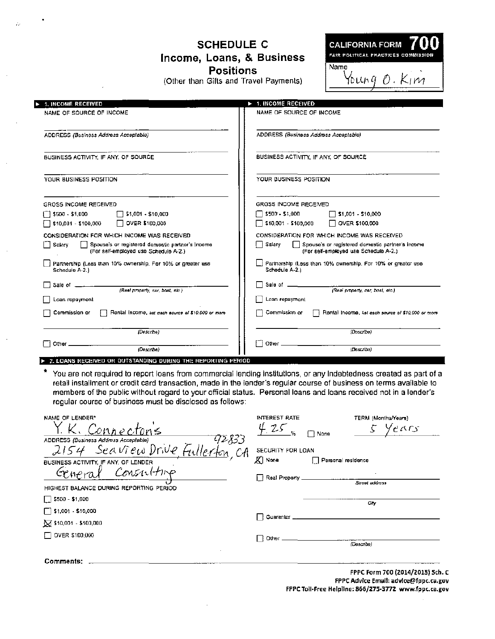## **SCHEDULE C** Income, Loans, & Business **Positions**

(Other than Gifts and Travel Payments)

| <b>TAN</b><br><b>CALIFORNIA FORM</b><br>FAIR POLITICAL FRACTICES COMMISSION |  |
|-----------------------------------------------------------------------------|--|
| Name<br>$\frac{1}{2}$ $\frac{1}{2}$ $\frac{1}{2}$                           |  |

| <b>1. INCOME RECEIVED</b>                                                                           | 1. INCOME RECEIVED<br>V                                                                               |
|-----------------------------------------------------------------------------------------------------|-------------------------------------------------------------------------------------------------------|
| NAME OF SOURCE OF INCOME                                                                            | NAME OF SOURCE OF INCOME                                                                              |
| ADDRESS (Business Address Accepiable)                                                               | ADDRESS (Business Address Acceptable)                                                                 |
| BUSINESS ACTIVITY. IF ANY, OF SOURCE.                                                               | BUSINESS ACTIVITY. IF ANY, OF SOURCE                                                                  |
| YOUR BUSINESS FOSITION                                                                              | YOUR BUSINESS POSITION                                                                                |
| GROSS INCOME RECEIVED                                                                               | GROSS INCOME RECEIVED                                                                                 |
| \$500 - \$1,000<br>$\Box$ \$1,001 - \$10,000                                                        | $5500 - 51,000$<br>$\Box$ \$1,001 - \$10,000                                                          |
| 510,001 - \$100,000<br>$\Box$ OVER \$100,000                                                        | S10,001 - \$100,000<br>$\Box$ OVER \$100,000                                                          |
| CONSIDERATION FOR WHICH INCOME WAS RECEIVED                                                         | CONSIDERATION FOR WHICH INCOME WAS RECEIVED                                                           |
| Salary<br>Spouse's or registered domestic partner's income<br>(For self-employed use Schedule A-2.) | ∏ Salary<br>Spouse's or registered domestic partner's income<br>(For self-employed use Schedule A-2.) |
| Partnership (Less than 10% ownership. For 10% or greater use<br>Schedule A-2.1                      | $\Box$ Partnership (Less than 10% ownership. For 10% or greater use.<br>Schedule A-2.)                |
| Sale of $\frac{1}{\sqrt{5}}$ (Real property, car, boat, etc.)                                       |                                                                                                       |
|                                                                                                     |                                                                                                       |
| Loan repaymont                                                                                      | Loan repayment                                                                                        |
| Commission or<br>Rental Income, ast each source of \$10,000 or more                                 | Commission or<br>Rental Income, list each source of \$10,000 or more<br>Εł                            |
| (Describe)                                                                                          | (Doscribe)                                                                                            |
| (Describs)<br>Other __<br>------------------                                                        | П                                                                                                     |

2. LOANS RECEIVED OR OUTSTANDING DURING THE REPORTING PERIOD

You are not required to report loans from commercial lending institutions, or any Indebtedness created as part of a retail installment or credit card transaction, made in the lender's regular course of business on terms available to members of the public without regard to your official status. Personal loans and loans received not in a lender's regular course of business must be disclosed as follows:

| NAME OF LENDER"                                | INTEREST RATE               |                    | TERM (Months/Years)               |
|------------------------------------------------|-----------------------------|--------------------|-----------------------------------|
|                                                | $-25$                       | None               | 5 Years                           |
| 72833<br>ADDRESS (Business Address Acceptable) |                             |                    |                                   |
| Fullerton, CA<br>- Seaview Drive               | SECURITY FOR LOAN           |                    |                                   |
| BUSINESS ACTIVITY, IF ANY, OF LENDER           | XI None                     | Personal residence |                                   |
| $Gene_1$<br>Constitute                         | $\Box$ Real Property $\Box$ |                    |                                   |
| HIGHEST BALANCE DURING REPORTING PERIOD        |                             |                    | Street address                    |
| $\Box$ \$500 - \$1,000                         |                             |                    | City                              |
| $\Box$ \$1,001 - \$10,000                      | Π Guaranior <sub>–</sub>    |                    |                                   |
| $\sqrt{}$ \$10,001 - \$100,000                 |                             |                    |                                   |
| OVER \$100,000                                 | ∏ Other <sub>-</sub>        |                    |                                   |
|                                                |                             |                    | (Describe)                        |
| Comments:                                      |                             |                    |                                   |
|                                                |                             |                    | concident to the fact a factor of |

FPPC Form 700 (2014/2015) Sch. C FPPC Advice Email: advice@fppc.ca.gov FPPC Toll-Free Helpline: 866/275-3772 www.fppc.ca.gov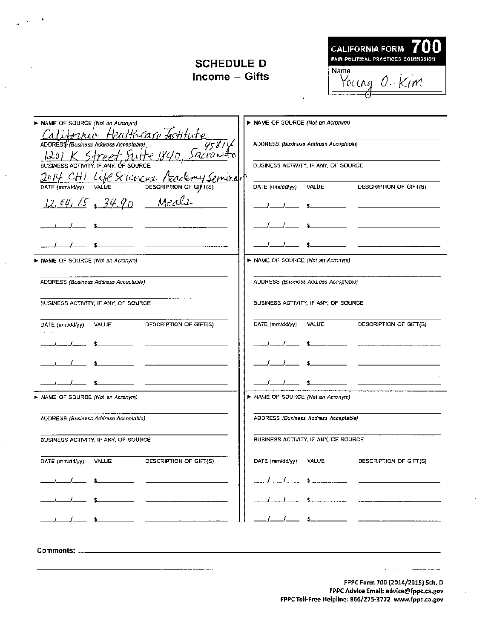## **SCHEDULE D** Income  $-$  Gifts



| MAME OF SOURCE (Not an Acronym)                                          | > NAME OF SOURCE (Not an Acronym)                                                                                                                                                                                                    |
|--------------------------------------------------------------------------|--------------------------------------------------------------------------------------------------------------------------------------------------------------------------------------------------------------------------------------|
| <u>rna Healthcare Institute</u><br>ADDRESS (Business Address Acceptable) |                                                                                                                                                                                                                                      |
| 1201 K Street suite 184                                                  | ADDRESS (Business Address Acceptable)                                                                                                                                                                                                |
| BUSINESS ACTIVITY. IF ANY.                                               | BUSINESS ACTIVITY, IF ANY, OF SOURCE                                                                                                                                                                                                 |
| JOHY CHI Life Sciences<br>lemy Spining                                   |                                                                                                                                                                                                                                      |
| DESCRIPTION OF GIFT(S)<br>DATE (mm/dd/yy)<br>VALUE                       | DATE (mm/dd/yy)<br>VALUE<br>DESCRIPTION OF GIFT(S)                                                                                                                                                                                   |
| $12,64,15,34.90$ Meals                                                   | <u>and the state of the state of the state of the state of the state of the state of the state of the state of the state of the state of the state of the state of the state of the state of the state of the state of the state</u> |
|                                                                          | <u>and the state of the state of the state</u>                                                                                                                                                                                       |
|                                                                          |                                                                                                                                                                                                                                      |
| NAME OF SOURCE (Not an Acronym)                                          | > NAME OF SOURCE (Not an Acronym)                                                                                                                                                                                                    |
| ADDRESS (Business Address Acceptable)                                    | ADDRESS (Businoss Address Accoptable)                                                                                                                                                                                                |
| BUSINESS ACTIVITY, IF ANY, OF SOURCE                                     | BUSINESS ACTIVITY, IF ANY, OF SOURCE                                                                                                                                                                                                 |
| DATE (mm/dd/yy) VALUE<br>DESCRIPTION OF GIFT(S)                          | DATE (mm/dd/yy)<br>VALUE<br>DESCRIPTION OF GIFT(S)                                                                                                                                                                                   |
|                                                                          | _______                                                                                                                                                                                                                              |
|                                                                          |                                                                                                                                                                                                                                      |
|                                                                          | $s$ and the set of $s$ and $s$ and $s$ and $s$ and $s$ and $s$ and $s$ and $s$ and $s$ and $s$ and $s$ and $s$ and $s$ and $s$ and $s$ and $s$ and $s$ and $s$ and $s$ and $s$ and $s$ and $s$ and $s$ and $s$ and $s$ and $s$       |
| > NAME OF SOURCE (Not an Acronym)                                        | ▶ NAME OF SOURCE (Not an Acronym)                                                                                                                                                                                                    |
| ADDRESS (Business Address Acceptable)                                    | ADDRESS (Business Address Acceptable)                                                                                                                                                                                                |
| BUSINESS ACTIVITY, IF ANY, OF SOURCE                                     | BUSINESS ACTIVITY, IF ANY, OF SOURCE                                                                                                                                                                                                 |
| VALUE<br>DESCRIPTION OF GIFT(S)<br>DATE (mm/dd/yy)                       | DATE (mm/dd/yy)<br>VALUE<br>DESCRIPTION OF GIFT(S)                                                                                                                                                                                   |
|                                                                          |                                                                                                                                                                                                                                      |
|                                                                          |                                                                                                                                                                                                                                      |
|                                                                          |                                                                                                                                                                                                                                      |
|                                                                          |                                                                                                                                                                                                                                      |
| Comments: .                                                              |                                                                                                                                                                                                                                      |

FPPC Form 700 (2014/2015) Sch. D FPPC Advice Email: advice@fppc.ca.gov FPPC Toll-Free Helpline: 866/275-3772 www.fppc.ca.gov